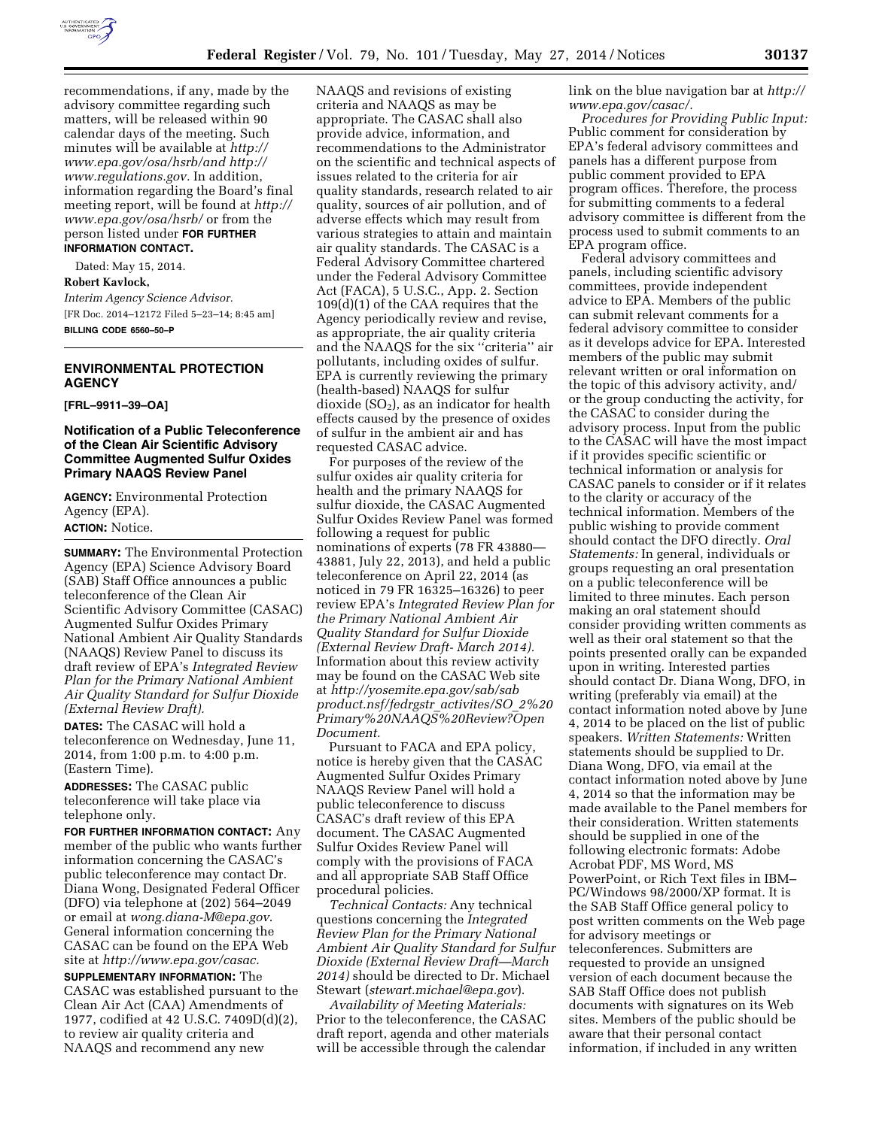

recommendations, if any, made by the advisory committee regarding such matters, will be released within 90 calendar days of the meeting. Such minutes will be available at *[http://](http://www.epa.gov/osa/hsrb) [www.epa.gov/osa/hsrb](http://www.epa.gov/osa/hsrb)/and [http://](http://www.regulations.gov) [www.regulations.gov.](http://www.regulations.gov)* In addition, information regarding the Board's final meeting report, will be found at *[http://](http://www.epa.gov/osa/hsrb/)  [www.epa.gov/osa/hsrb/](http://www.epa.gov/osa/hsrb/)* or from the person listed under **FOR FURTHER INFORMATION CONTACT.** 

Dated: May 15, 2014. **Robert Kavlock,**  *Interim Agency Science Advisor.*  [FR Doc. 2014–12172 Filed 5–23–14; 8:45 am]

**BILLING CODE 6560–50–P** 

# **ENVIRONMENTAL PROTECTION AGENCY**

**[FRL–9911–39–OA]** 

## **Notification of a Public Teleconference of the Clean Air Scientific Advisory Committee Augmented Sulfur Oxides Primary NAAQS Review Panel**

**AGENCY:** Environmental Protection Agency (EPA). **ACTION:** Notice.

**SUMMARY:** The Environmental Protection Agency (EPA) Science Advisory Board (SAB) Staff Office announces a public teleconference of the Clean Air Scientific Advisory Committee (CASAC) Augmented Sulfur Oxides Primary National Ambient Air Quality Standards (NAAQS) Review Panel to discuss its draft review of EPA's *Integrated Review Plan for the Primary National Ambient Air Quality Standard for Sulfur Dioxide (External Review Draft).* 

**DATES:** The CASAC will hold a teleconference on Wednesday, June 11, 2014, from 1:00 p.m. to 4:00 p.m. (Eastern Time).

**ADDRESSES:** The CASAC public teleconference will take place via telephone only.

**FOR FURTHER INFORMATION CONTACT:** Any member of the public who wants further information concerning the CASAC's public teleconference may contact Dr. Diana Wong, Designated Federal Officer (DFO) via telephone at (202) 564–2049 or email at *[wong.diana-M@epa.gov](mailto:wong.diana-M@epa.gov)*. General information concerning the CASAC can be found on the EPA Web site at *[http://www.epa.gov/casac.](http://www.epa.gov/casac)* 

**SUPPLEMENTARY INFORMATION:** The CASAC was established pursuant to the Clean Air Act (CAA) Amendments of 1977, codified at 42 U.S.C. 7409D(d)(2), to review air quality criteria and NAAQS and recommend any new

NAAQS and revisions of existing criteria and NAAQS as may be appropriate. The CASAC shall also provide advice, information, and recommendations to the Administrator on the scientific and technical aspects of issues related to the criteria for air quality standards, research related to air quality, sources of air pollution, and of adverse effects which may result from various strategies to attain and maintain air quality standards. The CASAC is a Federal Advisory Committee chartered under the Federal Advisory Committee Act (FACA), 5 U.S.C., App. 2. Section 109(d)(1) of the CAA requires that the Agency periodically review and revise, as appropriate, the air quality criteria and the NAAQS for the six ''criteria'' air pollutants, including oxides of sulfur. EPA is currently reviewing the primary (health-based) NAAQS for sulfur dioxide  $(SO<sub>2</sub>)$ , as an indicator for health effects caused by the presence of oxides of sulfur in the ambient air and has requested CASAC advice.

For purposes of the review of the sulfur oxides air quality criteria for health and the primary NAAQS for sulfur dioxide, the CASAC Augmented Sulfur Oxides Review Panel was formed following a request for public nominations of experts (78 FR 43880— 43881, July 22, 2013), and held a public teleconference on April 22, 2014 (as noticed in 79 FR 16325–16326) to peer review EPA's *Integrated Review Plan for the Primary National Ambient Air Quality Standard for Sulfur Dioxide (External Review Draft- March 2014).*  Information about this review activity may be found on the CASAC Web site at *[http://yosemite.epa.gov/sab/sab](http://yosemite.epa.gov/sab/sabproduct.nsf/fedrgstr_activites/SO_2%20Primary%20NAAQS%20Review?OpenDocument) [product.nsf/fedrgstr](http://yosemite.epa.gov/sab/sabproduct.nsf/fedrgstr_activites/SO_2%20Primary%20NAAQS%20Review?OpenDocument)*\_*activites/SO*\_*2%20 [Primary%20NAAQS%20Review?Open](http://yosemite.epa.gov/sab/sabproduct.nsf/fedrgstr_activites/SO_2%20Primary%20NAAQS%20Review?OpenDocument) [Document.](http://yosemite.epa.gov/sab/sabproduct.nsf/fedrgstr_activites/SO_2%20Primary%20NAAQS%20Review?OpenDocument)* 

Pursuant to FACA and EPA policy, notice is hereby given that the CASAC Augmented Sulfur Oxides Primary NAAQS Review Panel will hold a public teleconference to discuss CASAC's draft review of this EPA document. The CASAC Augmented Sulfur Oxides Review Panel will comply with the provisions of FACA and all appropriate SAB Staff Office procedural policies.

*Technical Contacts:* Any technical questions concerning the *Integrated Review Plan for the Primary National Ambient Air Quality Standard for Sulfur Dioxide (External Review Draft—March 2014)* should be directed to Dr. Michael Stewart (*[stewart.michael@epa.gov](mailto:stewart.michael@epa.gov)*).

*Availability of Meeting Materials:*  Prior to the teleconference, the CASAC draft report, agenda and other materials will be accessible through the calendar

link on the blue navigation bar at *[http://](http://www.epa.gov/casac/)  [www.epa.gov/casac/.](http://www.epa.gov/casac/)* 

*Procedures for Providing Public Input:*  Public comment for consideration by EPA's federal advisory committees and panels has a different purpose from public comment provided to EPA program offices. Therefore, the process for submitting comments to a federal advisory committee is different from the process used to submit comments to an EPA program office.

Federal advisory committees and panels, including scientific advisory committees, provide independent advice to EPA. Members of the public can submit relevant comments for a federal advisory committee to consider as it develops advice for EPA. Interested members of the public may submit relevant written or oral information on the topic of this advisory activity, and/ or the group conducting the activity, for the CASAC to consider during the advisory process. Input from the public to the CASAC will have the most impact if it provides specific scientific or technical information or analysis for CASAC panels to consider or if it relates to the clarity or accuracy of the technical information. Members of the public wishing to provide comment should contact the DFO directly. *Oral Statements:* In general, individuals or groups requesting an oral presentation on a public teleconference will be limited to three minutes. Each person making an oral statement should consider providing written comments as well as their oral statement so that the points presented orally can be expanded upon in writing. Interested parties should contact Dr. Diana Wong, DFO, in writing (preferably via email) at the contact information noted above by June 4, 2014 to be placed on the list of public speakers. *Written Statements:* Written statements should be supplied to Dr. Diana Wong, DFO, via email at the contact information noted above by June 4, 2014 so that the information may be made available to the Panel members for their consideration. Written statements should be supplied in one of the following electronic formats: Adobe Acrobat PDF, MS Word, MS PowerPoint, or Rich Text files in IBM– PC/Windows 98/2000/XP format. It is the SAB Staff Office general policy to post written comments on the Web page for advisory meetings or teleconferences. Submitters are requested to provide an unsigned version of each document because the SAB Staff Office does not publish documents with signatures on its Web sites. Members of the public should be aware that their personal contact information, if included in any written